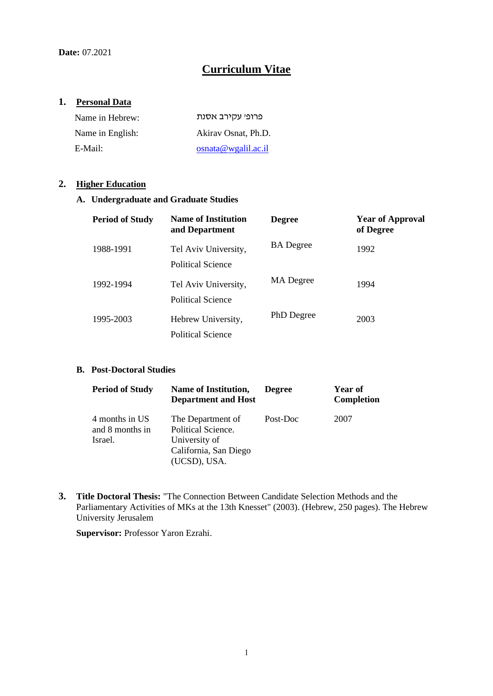# **Curriculum Vitae**

# **1. Personal Data**

| Name in Hebrew:  | פרופי עקירב אסנת    |
|------------------|---------------------|
| Name in English: | Akiray Osnat, Ph.D. |
| E-Mail:          | osnata@wgalil.ac.i  |

### **2. Higher Education**

### **A. Undergraduate and Graduate Studies**

| <b>Period of Study</b> | <b>Name of Institution</b><br>and Department | <b>Degree</b>    | <b>Year of Approval</b><br>of Degree |
|------------------------|----------------------------------------------|------------------|--------------------------------------|
| 1988-1991              | Tel Aviv University,<br>Political Science    | <b>BA</b> Degree | 1992                                 |
| 1992-1994              | Tel Aviv University,<br>Political Science    | MA Degree        | 1994                                 |
| 1995-2003              | Hebrew University,<br>Political Science      | PhD Degree       | 2003                                 |

#### **B. Post-Doctoral Studies**

| <b>Period of Study</b>                       | Name of Institution,<br><b>Department and Host</b>                                                | <b>Degree</b> | Year of<br><b>Completion</b> |
|----------------------------------------------|---------------------------------------------------------------------------------------------------|---------------|------------------------------|
| 4 months in US<br>and 8 months in<br>Israel. | The Department of<br>Political Science.<br>University of<br>California, San Diego<br>(UCSD), USA. | Post-Doc      | 2007                         |

**3. Title Doctoral Thesis:** "The Connection Between Candidate Selection Methods and the Parliamentary Activities of MKs at the 13th Knesset" (2003). (Hebrew, 250 pages). The Hebrew University Jerusalem

**Supervisor:** Professor Yaron Ezrahi.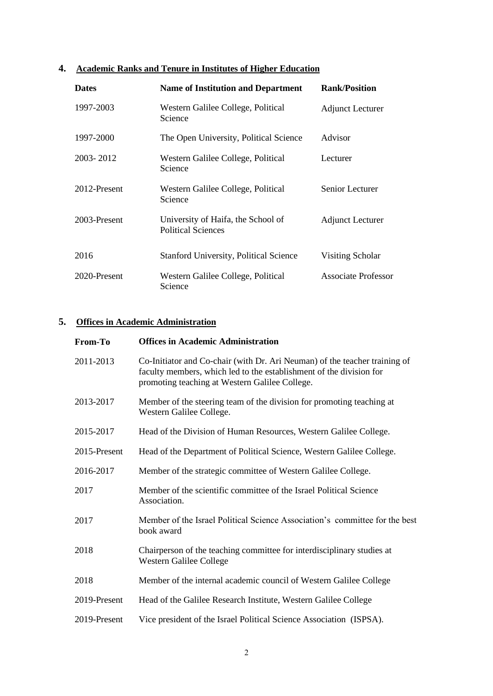# **4. Academic Ranks and Tenure in Institutes of Higher Education**

| <b>Dates</b> | <b>Name of Institution and Department</b>                       | <b>Rank/Position</b>       |
|--------------|-----------------------------------------------------------------|----------------------------|
| 1997-2003    | Western Galilee College, Political<br>Science                   | <b>Adjunct Lecturer</b>    |
| 1997-2000    | The Open University, Political Science                          | Advisor                    |
| 2003-2012    | Western Galilee College, Political<br>Science                   | Lecturer                   |
| 2012-Present | Western Galilee College, Political<br>Science                   | Senior Lecturer            |
| 2003-Present | University of Haifa, the School of<br><b>Political Sciences</b> | <b>Adjunct Lecturer</b>    |
| 2016         | <b>Stanford University, Political Science</b>                   | Visiting Scholar           |
| 2020-Present | Western Galilee College, Political<br>Science                   | <b>Associate Professor</b> |

# **5. Offices in Academic Administration**

| From-To      | <b>Offices in Academic Administration</b>                                                                                                                                                           |
|--------------|-----------------------------------------------------------------------------------------------------------------------------------------------------------------------------------------------------|
| 2011-2013    | Co-Initiator and Co-chair (with Dr. Ari Neuman) of the teacher training of<br>faculty members, which led to the establishment of the division for<br>promoting teaching at Western Galilee College. |
| 2013-2017    | Member of the steering team of the division for promoting teaching at<br>Western Galilee College.                                                                                                   |
| 2015-2017    | Head of the Division of Human Resources, Western Galilee College.                                                                                                                                   |
| 2015-Present | Head of the Department of Political Science, Western Galilee College.                                                                                                                               |
| 2016-2017    | Member of the strategic committee of Western Galilee College.                                                                                                                                       |
| 2017         | Member of the scientific committee of the Israel Political Science<br>Association.                                                                                                                  |
| 2017         | Member of the Israel Political Science Association's committee for the best<br>book award                                                                                                           |
| 2018         | Chairperson of the teaching committee for interdisciplinary studies at<br>Western Galilee College                                                                                                   |
| 2018         | Member of the internal academic council of Western Galilee College                                                                                                                                  |
| 2019-Present | Head of the Galilee Research Institute, Western Galilee College                                                                                                                                     |
| 2019-Present | Vice president of the Israel Political Science Association (ISPSA).                                                                                                                                 |
|              |                                                                                                                                                                                                     |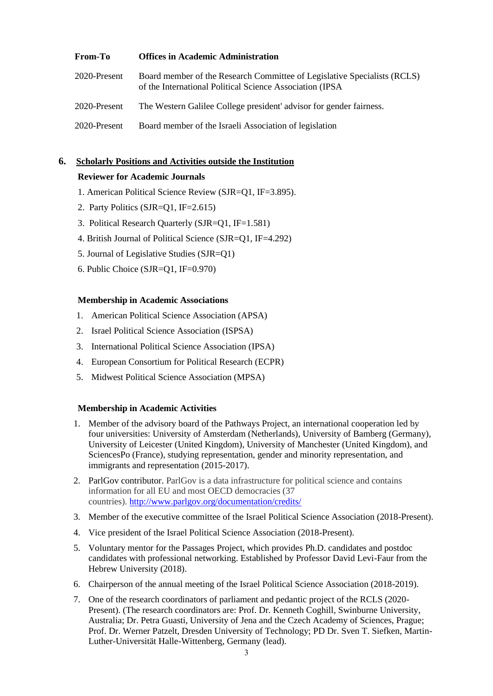| <b>From-To</b> | <b>Offices in Academic Administration</b>                                                                                             |
|----------------|---------------------------------------------------------------------------------------------------------------------------------------|
| 2020-Present   | Board member of the Research Committee of Legislative Specialists (RCLS)<br>of the International Political Science Association (IPSA) |
| 2020-Present   | The Western Galilee College president' advisor for gender fairness.                                                                   |
| 2020-Present   | Board member of the Israeli Association of legislation                                                                                |

## **6. Scholarly Positions and Activities outside the Institution**

### **Reviewer for Academic Journals**

- 1. American Political Science Review (SJR=Q1, IF=3.895).
- 2. Party Politics (SJR=Q1, IF=2.615)
- 3. Political Research Quarterly (SJR=Q1, IF=1.581)
- 4. British Journal of Political Science (SJR=Q1, IF=4.292)
- 5. Journal of Legislative Studies (SJR=Q1)
- 6. Public Choice (SJR=Q1, IF=0.970)

#### **Membership in Academic Associations**

- 1. American Political Science Association (APSA)
- 2. Israel Political Science Association (ISPSA)
- 3. International Political Science Association (IPSA)
- 4. European Consortium for Political Research (ECPR)
- 5. Midwest Political Science Association (MPSA)

#### **Membership in Academic Activities**

- 1. Member of the advisory board of the Pathways Project, an international cooperation led by four universities: University of Amsterdam (Netherlands), University of Bamberg (Germany), University of Leicester (United Kingdom), University of Manchester (United Kingdom), and SciencesPo (France), studying representation, gender and minority representation, and immigrants and representation (2015-2017).
- 2. ParlGov contributor. ParlGov is a data infrastructure for political science and contains information for all EU and most OECD democracies (37 countries). <http://www.parlgov.org/documentation/credits/>
- 3. Member of the executive committee of the Israel Political Science Association (2018-Present).
- 4. Vice president of the Israel Political Science Association (2018-Present).
- 5. Voluntary mentor for the Passages Project, which provides Ph.D. candidates and postdoc candidates with professional networking. Established by Professor David Levi-Faur from the Hebrew University (2018).
- 6. Chairperson of the annual meeting of the Israel Political Science Association (2018-2019).
- 7. One of the research coordinators of parliament and pedantic project of the RCLS (2020- Present). (The research coordinators are: Prof. Dr. Kenneth Coghill, Swinburne University, Australia; Dr. Petra Guasti, University of Jena and the Czech Academy of Sciences, Prague; Prof. Dr. Werner Patzelt, Dresden University of Technology; PD Dr. Sven T. Siefken, Martin-Luther-Universität Halle-Wittenberg, Germany (lead).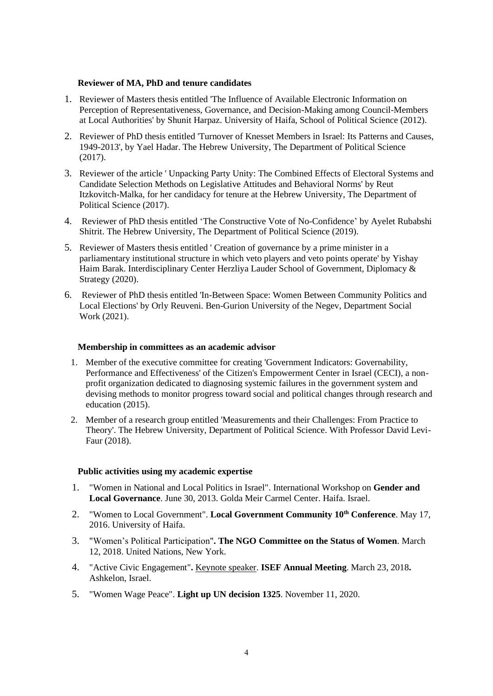#### **Reviewer of MA, PhD and tenure candidates**

- 1. Reviewer of Masters thesis entitled 'The Influence of Available Electronic Information on Perception of Representativeness, Governance, and Decision-Making among Council-Members at Local Authorities' by Shunit Harpaz. University of Haifa, School of Political Science (2012).
- 2. Reviewer of PhD thesis entitled 'Turnover of Knesset Members in Israel: Its Patterns and Causes, 1949-2013', by Yael Hadar. The Hebrew University, The Department of Political Science (2017).
- 3. Reviewer of the article ' Unpacking Party Unity: The Combined Effects of Electoral Systems and Candidate Selection Methods on Legislative Attitudes and Behavioral Norms' by Reut Itzkovitch-Malka, for her candidacy for tenure at the Hebrew University, The Department of Political Science (2017).
- 4. Reviewer of PhD thesis entitled 'The Constructive Vote of No-Confidence' by Ayelet Rubabshi Shitrit. The Hebrew University, The Department of Political Science (2019).
- 5. Reviewer of Masters thesis entitled ' Creation of governance by a prime minister in a parliamentary institutional structure in which veto players and veto points operate' by Yishay Haim Barak. Interdisciplinary Center Herzliya Lauder School of Government, Diplomacy & Strategy (2020).
- 6. Reviewer of PhD thesis entitled 'In-Between Space: Women Between Community Politics and Local Elections' by Orly Reuveni. Ben-Gurion University of the Negev, Department Social Work (2021).

#### **Membership in committees as an academic advisor**

- 1. Member of the executive committee for creating 'Government Indicators: Governability, Performance and Effectiveness' of the Citizen's Empowerment Center in Israel (CECI), a nonprofit organization dedicated to diagnosing systemic failures in the government system and devising methods to monitor progress toward social and political changes through research and education (2015).
- 2. Member of a research group entitled 'Measurements and their Challenges: From Practice to Theory'. The Hebrew University, Department of Political Science. With Professor David Levi-Faur (2018).

#### **Public activities using my academic expertise**

- 1. "Women in National and Local Politics in Israel". International Workshop on **Gender and Local Governance**. June 30, 2013. Golda Meir Carmel Center. Haifa. Israel.
- 2. "Women to Local Government". **Local Government Community 10th Conference**. May 17, 2016. University of Haifa.
- 3. "Women's Political Participation"**. The NGO Committee on the Status of Women**. March 12, 2018. United Nations, New York.
- 4. "Active Civic Engagement"**.** Keynote speaker. **ISEF Annual Meeting**. March 23, 2018**.**  Ashkelon, Israel.
- 5. "Women Wage Peace". **Light up UN decision 1325**. November 11, 2020.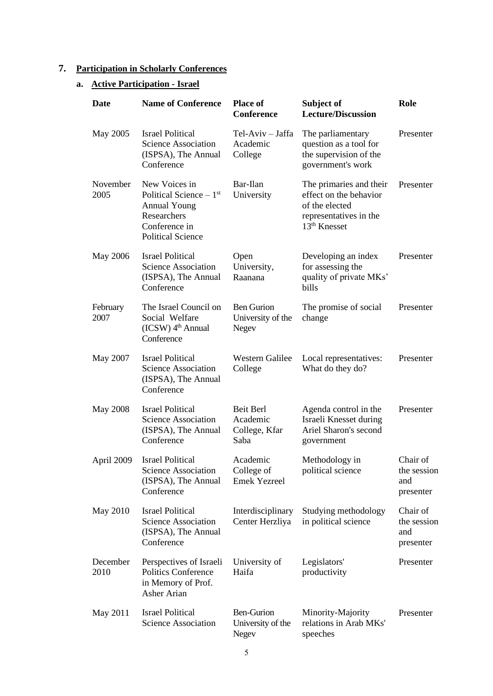# **7. Participation in Scholarly Conferences**

# **a. Active Participation - Israel**

| Date             | <b>Name of Conference</b>                                                                                                    | <b>Place of</b><br><b>Conference</b>                   | Subject of<br><b>Lecture/Discussion</b>                                                                                   | Role                                        |
|------------------|------------------------------------------------------------------------------------------------------------------------------|--------------------------------------------------------|---------------------------------------------------------------------------------------------------------------------------|---------------------------------------------|
| May 2005         | <b>Israel Political</b><br><b>Science Association</b><br>(ISPSA), The Annual<br>Conference                                   | Tel-Aviv - Jaffa<br>Academic<br>College                | The parliamentary<br>question as a tool for<br>the supervision of the<br>government's work                                | Presenter                                   |
| November<br>2005 | New Voices in<br>Political Science $-1st$<br><b>Annual Young</b><br>Researchers<br>Conference in<br><b>Political Science</b> | Bar-Ilan<br>University                                 | The primaries and their<br>effect on the behavior<br>of the elected<br>representatives in the<br>13 <sup>th</sup> Knesset | Presenter                                   |
| May 2006         | <b>Israel Political</b><br>Science Association<br>(ISPSA), The Annual<br>Conference                                          | Open<br>University,<br>Raanana                         | Developing an index<br>for assessing the<br>quality of private MKs'<br>bills                                              | Presenter                                   |
| February<br>2007 | The Israel Council on<br>Social Welfare<br>$(ICSW)$ 4 <sup>th</sup> Annual<br>Conference                                     | <b>Ben Gurion</b><br>University of the<br>Negev        | The promise of social<br>change                                                                                           | Presenter                                   |
| May 2007         | <b>Israel Political</b><br><b>Science Association</b><br>(ISPSA), The Annual<br>Conference                                   | Western Galilee<br>College                             | Local representatives:<br>What do they do?                                                                                | Presenter                                   |
| May 2008         | <b>Israel Political</b><br>Science Association<br>(ISPSA), The Annual<br>Conference                                          | Beit Berl<br>Academic<br>College, Kfar<br>Saba         | Agenda control in the<br>Israeli Knesset during<br>Ariel Sharon's second<br>government                                    | Presenter                                   |
| April 2009       | <b>Israel Political</b><br>Science Association<br>(ISPSA), The Annual<br>Conference                                          | Academic<br>College of<br><b>Emek Yezreel</b>          | Methodology in<br>political science                                                                                       | Chair of<br>the session<br>and<br>presenter |
| May 2010         | <b>Israel Political</b><br><b>Science Association</b><br>(ISPSA), The Annual<br>Conference                                   | Interdisciplinary<br>Center Herzliya                   | Studying methodology<br>in political science                                                                              | Chair of<br>the session<br>and<br>presenter |
| December<br>2010 | Perspectives of Israeli<br><b>Politics Conference</b><br>in Memory of Prof.<br>Asher Arian                                   | University of<br>Haifa                                 | Legislators'<br>productivity                                                                                              | Presenter                                   |
| May 2011         | <b>Israel Political</b><br><b>Science Association</b>                                                                        | <b>Ben-Gurion</b><br>University of the<br><b>Negev</b> | Minority-Majority<br>relations in Arab MKs'<br>speeches                                                                   | Presenter                                   |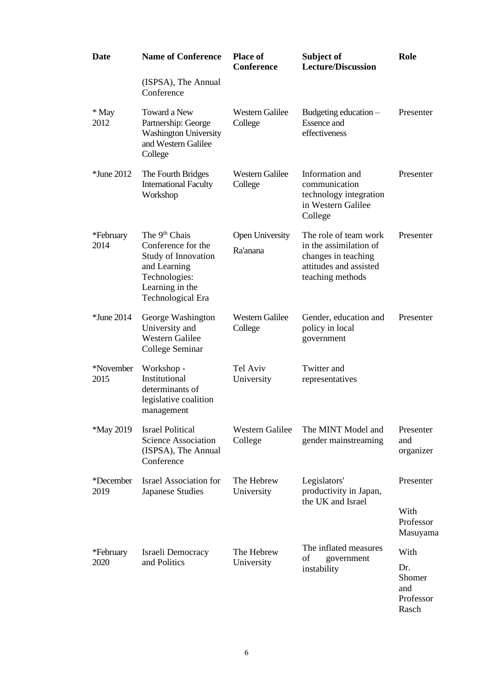| <b>Date</b>       | <b>Name of Conference</b>                                                                                                                       | <b>Place of</b><br><b>Conference</b> | Subject of<br><b>Lecture/Discussion</b>                                                                              | Role                                       |
|-------------------|-------------------------------------------------------------------------------------------------------------------------------------------------|--------------------------------------|----------------------------------------------------------------------------------------------------------------------|--------------------------------------------|
|                   | (ISPSA), The Annual<br>Conference                                                                                                               |                                      |                                                                                                                      |                                            |
| * May<br>2012     | Toward a New<br>Partnership: George<br><b>Washington University</b><br>and Western Galilee<br>College                                           | <b>Western Galilee</b><br>College    | Budgeting education $-$<br><b>Essence</b> and<br>effectiveness                                                       | Presenter                                  |
| <i>*June 2012</i> | The Fourth Bridges<br><b>International Faculty</b><br>Workshop                                                                                  | <b>Western Galilee</b><br>College    | Information and<br>communication<br>technology integration<br>in Western Galilee<br>College                          | Presenter                                  |
| *February<br>2014 | The 9 <sup>th</sup> Chais<br>Conference for the<br>Study of Innovation<br>and Learning<br>Technologies:<br>Learning in the<br>Technological Era | <b>Open University</b><br>Ra'anana   | The role of team work<br>in the assimilation of<br>changes in teaching<br>attitudes and assisted<br>teaching methods | Presenter                                  |
| *June 2014        | George Washington<br>University and<br><b>Western Galilee</b><br>College Seminar                                                                | <b>Western Galilee</b><br>College    | Gender, education and<br>policy in local<br>government                                                               | Presenter                                  |
| *November<br>2015 | Workshop -<br>Institutional<br>determinants of<br>legislative coalition<br>management                                                           | Tel Aviv<br>University               | Twitter and<br>representatives                                                                                       |                                            |
| <i>*May</i> 2019  | <b>Israel Political</b><br><b>Science Association</b><br>(ISPSA), The Annual<br>Conference                                                      | <b>Western Galilee</b><br>College    | The MINT Model and<br>gender mainstreaming                                                                           | Presenter<br>and<br>organizer              |
| *December<br>2019 | <b>Israel Association for</b><br><b>Japanese Studies</b>                                                                                        | The Hebrew<br>University             | Legislators'<br>productivity in Japan,<br>the UK and Israel                                                          | Presenter                                  |
|                   |                                                                                                                                                 |                                      |                                                                                                                      | With<br>Professor<br>Masuyama              |
| *February         | Israeli Democracy                                                                                                                               | The Hebrew                           | The inflated measures<br>of<br>government                                                                            | With                                       |
| 2020              | and Politics                                                                                                                                    | University                           | instability                                                                                                          | Dr.<br>Shomer<br>and<br>Professor<br>Rasch |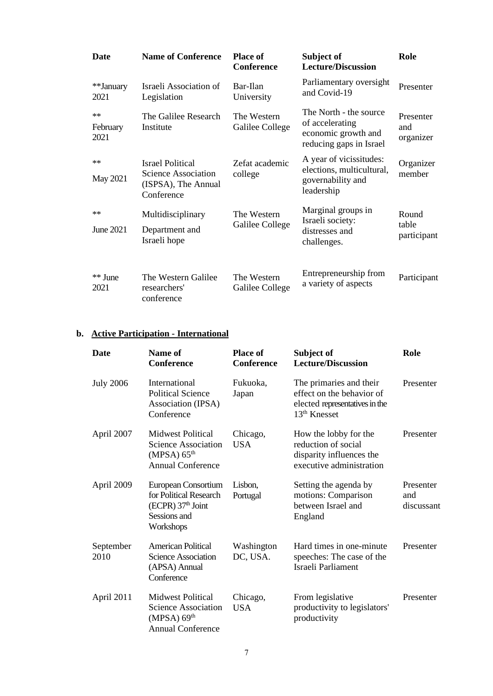| <b>Date</b>              | <b>Name of Conference</b>                                                           | <b>Place of</b><br>Conference  | Subject of<br><b>Lecture/Discussion</b>                                                     | Role                          |
|--------------------------|-------------------------------------------------------------------------------------|--------------------------------|---------------------------------------------------------------------------------------------|-------------------------------|
| **January<br>2021        | Israeli Association of<br>Legislation                                               | Bar-Ilan<br>University         | Parliamentary oversight<br>and Covid-19                                                     | Presenter                     |
| $**$<br>February<br>2021 | The Galilee Research<br>Institute                                                   | The Western<br>Galilee College | The North - the source<br>of accelerating<br>economic growth and<br>reducing gaps in Israel | Presenter<br>and<br>organizer |
| $**$<br>May 2021         | <b>Israel Political</b><br>Science Association<br>(ISPSA), The Annual<br>Conference | Zefat academic<br>college      | A year of vicissitudes:<br>elections, multicultural,<br>governability and<br>leadership     | Organizer<br>member           |
| $**$<br>June 2021        | Multidisciplinary<br>Department and<br>Israeli hope                                 | The Western<br>Galilee College | Marginal groups in<br>Israeli society:<br>distresses and<br>challenges.                     | Round<br>table<br>participant |
| ** June<br>2021          | The Western Galilee<br>researchers'<br>conference                                   | The Western<br>Galilee College | Entrepreneurship from<br>a variety of aspects                                               | Participant                   |

# **b. Active Participation - International**

| <b>Date</b>       | Name of<br><b>Conference</b>                                                                                  | <b>Place of</b><br><b>Conference</b> | Subject of<br><b>Lecture/Discussion</b>                                                                  | Role                           |
|-------------------|---------------------------------------------------------------------------------------------------------------|--------------------------------------|----------------------------------------------------------------------------------------------------------|--------------------------------|
| <b>July 2006</b>  | International<br><b>Political Science</b><br>Association (IPSA)<br>Conference                                 | Fukuoka,<br>Japan                    | The primaries and their<br>effect on the behavior of<br>elected representatives in the<br>$13th$ Knesset | Presenter                      |
| April 2007        | <b>Midwest Political</b><br><b>Science Association</b><br>(MPSA) 65 <sup>th</sup><br><b>Annual Conference</b> | Chicago,<br><b>USA</b>               | How the lobby for the<br>reduction of social<br>disparity influences the<br>executive administration     | Presenter                      |
| April 2009        | European Consortium<br>for Political Research<br>$(ECPR)$ 37 <sup>th</sup> Joint<br>Sessions and<br>Workshops | Lisbon,<br>Portugal                  | Setting the agenda by<br>motions: Comparison<br>between Israel and<br>England                            | Presenter<br>and<br>discussant |
| September<br>2010 | <b>American Political</b><br><b>Science Association</b><br>(APSA) Annual<br>Conference                        | Washington<br>DC, USA.               | Hard times in one-minute<br>speeches: The case of the<br>Israeli Parliament                              | Presenter                      |
| April 2011        | <b>Midwest Political</b><br>Science Association<br>(MPSA) 69 <sup>th</sup><br><b>Annual Conference</b>        | Chicago,<br><b>USA</b>               | From legislative<br>productivity to legislators'<br>productivity                                         | Presenter                      |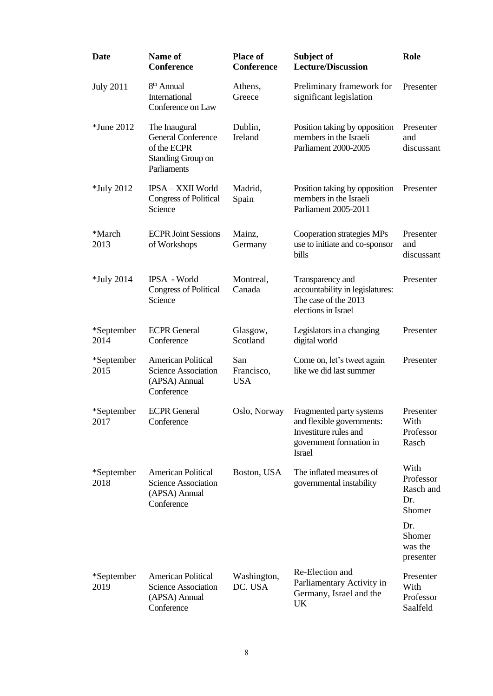| Date               | Name of<br><b>Conference</b>                                                                         | <b>Place of</b><br><b>Conference</b> | Subject of<br><b>Lecture/Discussion</b>                                                                                    | Role                                            |
|--------------------|------------------------------------------------------------------------------------------------------|--------------------------------------|----------------------------------------------------------------------------------------------------------------------------|-------------------------------------------------|
| <b>July 2011</b>   | 8 <sup>th</sup> Annual<br>International<br>Conference on Law                                         | Athens,<br>Greece                    | Preliminary framework for<br>significant legislation                                                                       | Presenter                                       |
| <i>*June 2012</i>  | The Inaugural<br><b>General Conference</b><br>of the ECPR<br><b>Standing Group on</b><br>Parliaments | Dublin,<br>Ireland                   | Position taking by opposition<br>members in the Israeli<br>Parliament 2000-2005                                            | Presenter<br>and<br>discussant                  |
| <i>*July</i> 2012  | IPSA - XXII World<br><b>Congress of Political</b><br>Science                                         | Madrid,<br>Spain                     | Position taking by opposition<br>members in the Israeli<br>Parliament 2005-2011                                            | Presenter                                       |
| *March<br>2013     | <b>ECPR Joint Sessions</b><br>of Workshops                                                           | Mainz,<br>Germany                    | Cooperation strategies MPs<br>use to initiate and co-sponsor<br>bills                                                      | Presenter<br>and<br>discussant                  |
| <i>*July</i> 2014  | <b>IPSA - World</b><br><b>Congress of Political</b><br>Science                                       | Montreal,<br>Canada                  | Transparency and<br>accountability in legislatures:<br>The case of the 2013<br>elections in Israel                         | Presenter                                       |
| *September<br>2014 | <b>ECPR</b> General<br>Conference                                                                    | Glasgow,<br>Scotland                 | Legislators in a changing<br>digital world                                                                                 | Presenter                                       |
| *September<br>2015 | <b>American Political</b><br><b>Science Association</b><br>(APSA) Annual<br>Conference               | San<br>Francisco,<br><b>USA</b>      | Come on, let's tweet again<br>like we did last summer                                                                      | Presenter                                       |
| *September<br>2017 | <b>ECPR</b> General<br>Conference                                                                    | Oslo, Norway                         | Fragmented party systems<br>and flexible governments:<br>Investiture rules and<br>government formation in<br><b>Israel</b> | Presenter<br>With<br>Professor<br>Rasch         |
| *September<br>2018 | <b>American Political</b><br><b>Science Association</b><br>(APSA) Annual<br>Conference               | Boston, USA                          | The inflated measures of<br>governmental instability                                                                       | With<br>Professor<br>Rasch and<br>Dr.<br>Shomer |
|                    |                                                                                                      |                                      |                                                                                                                            | Dr.<br>Shomer<br>was the<br>presenter           |
| *September<br>2019 | <b>American Political</b><br><b>Science Association</b><br>(APSA) Annual<br>Conference               | Washington,<br>DC. USA               | Re-Election and<br>Parliamentary Activity in<br>Germany, Israel and the<br>UK                                              | Presenter<br>With<br>Professor<br>Saalfeld      |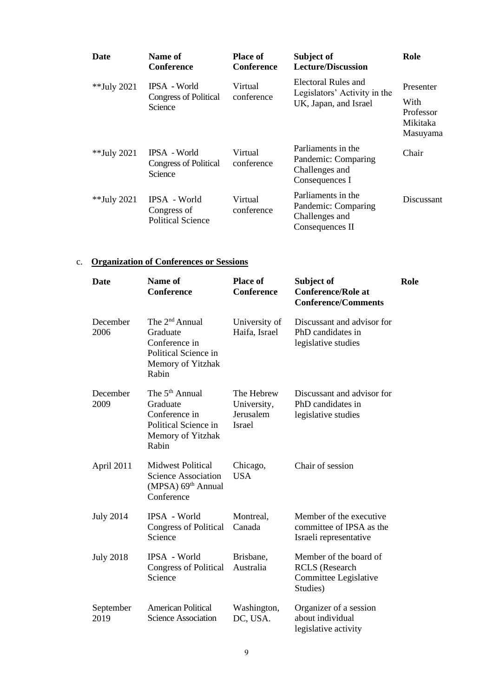| <b>Date</b> | Name of<br><b>Conference</b>                            | <b>Place of</b><br>Conference | Subject of<br><b>Lecture/Discussion</b>                                        | Role                                                   |
|-------------|---------------------------------------------------------|-------------------------------|--------------------------------------------------------------------------------|--------------------------------------------------------|
| **July 2021 | IPSA - World<br><b>Congress of Political</b><br>Science | Virtual<br>conference         | Electoral Rules and<br>Legislators' Activity in the<br>UK, Japan, and Israel   | Presenter<br>With<br>Professor<br>Mikitaka<br>Masuyama |
| **July 2021 | IPSA - World<br><b>Congress of Political</b><br>Science | Virtual<br>conference         | Parliaments in the<br>Pandemic: Comparing<br>Challenges and<br>Consequences I  | Chair                                                  |
| **July 2021 | IPSA - World<br>Congress of<br><b>Political Science</b> | Virtual<br>conference         | Parliaments in the<br>Pandemic: Comparing<br>Challenges and<br>Consequences II | Discussant                                             |

# c. **Organization of Conferences or Sessions**

| Date              | Name of<br><b>Conference</b>                                                                                  | <b>Place of</b><br><b>Conference</b>                    | Subject of<br><b>Conference/Role at</b><br><b>Conference/Comments</b>                | Role |
|-------------------|---------------------------------------------------------------------------------------------------------------|---------------------------------------------------------|--------------------------------------------------------------------------------------|------|
| December<br>2006  | The 2 <sup>nd</sup> Annual<br>Graduate<br>Conference in<br>Political Science in<br>Memory of Yitzhak<br>Rabin | University of<br>Haifa, Israel                          | Discussant and advisor for<br>PhD candidates in<br>legislative studies               |      |
| December<br>2009  | The 5 <sup>th</sup> Annual<br>Graduate<br>Conference in<br>Political Science in<br>Memory of Yitzhak<br>Rabin | The Hebrew<br>University,<br>Jerusalem<br><b>Israel</b> | Discussant and advisor for<br>PhD candidates in<br>legislative studies               |      |
| April 2011        | <b>Midwest Political</b><br><b>Science Association</b><br>(MPSA) 69 <sup>th</sup> Annual<br>Conference        | Chicago,<br><b>USA</b>                                  | Chair of session                                                                     |      |
| <b>July 2014</b>  | IPSA - World<br><b>Congress of Political</b><br>Science                                                       | Montreal,<br>Canada                                     | Member of the executive<br>committee of IPSA as the<br>Israeli representative        |      |
| <b>July 2018</b>  | IPSA - World<br><b>Congress of Political</b><br>Science                                                       | Brisbane,<br>Australia                                  | Member of the board of<br><b>RCLS</b> (Research<br>Committee Legislative<br>Studies) |      |
| September<br>2019 | <b>American Political</b><br><b>Science Association</b>                                                       | Washington,<br>DC, USA.                                 | Organizer of a session<br>about individual<br>legislative activity                   |      |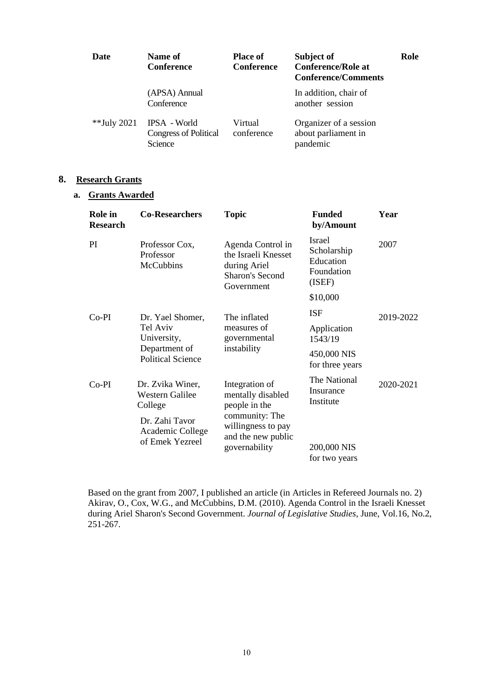| Date        | Name of<br><b>Conference</b>                            | <b>Place of</b><br><b>Conference</b> | Subject of<br><b>Conference/Role at</b><br><b>Conference/Comments</b> | Role |
|-------------|---------------------------------------------------------|--------------------------------------|-----------------------------------------------------------------------|------|
|             | (APSA) Annual<br>Conference                             |                                      | In addition, chair of<br>another session                              |      |
| **July 2021 | IPSA - World<br><b>Congress of Political</b><br>Science | Virtual<br>conference                | Organizer of a session<br>about parliament in<br>pandemic             |      |

### **8. Research Grants**

### **a. Grants Awarded**

| Role in<br><b>Research</b> | <b>Co-Researchers</b>                                                                       | <b>Topic</b>                                                                                     | <b>Funded</b><br>by/Amount                                        | Year      |
|----------------------------|---------------------------------------------------------------------------------------------|--------------------------------------------------------------------------------------------------|-------------------------------------------------------------------|-----------|
| PI.                        | Professor Cox,<br>Professor<br><b>McCubbins</b>                                             | Agenda Control in<br>the Israeli Knesset<br>during Ariel<br><b>Sharon's Second</b><br>Government | <b>Israel</b><br>Scholarship<br>Education<br>Foundation<br>(ISEF) | 2007      |
|                            |                                                                                             |                                                                                                  | \$10,000                                                          |           |
| $Co-PI$                    | Dr. Yael Shomer,                                                                            | The inflated                                                                                     | <b>ISF</b>                                                        | 2019-2022 |
|                            | Tel Aviv<br>University,<br>Department of<br><b>Political Science</b>                        | measures of<br>governmental                                                                      | Application<br>1543/19                                            |           |
|                            |                                                                                             | instability                                                                                      | 450,000 NIS<br>for three years                                    |           |
| $Co-PI$                    | Dr. Zvika Winer,<br><b>Western Galilee</b><br>College<br>Dr. Zahi Tavor<br>Academic College | Integration of<br>mentally disabled<br>people in the<br>community: The<br>willingness to pay     | The National<br>Insurance<br>Institute                            | 2020-2021 |
|                            | of Emek Yezreel                                                                             | and the new public<br>governability                                                              | 200,000 NIS<br>for two years                                      |           |

Based on the grant from 2007, I published an article (in Articles in Refereed Journals no. 2) Akirav, O., Cox, W.G., and McCubbins, D.M. (2010). Agenda Control in the Israeli Knesset during Ariel Sharon's Second Government. *Journal of Legislative Studies*, June, Vol.16, No.2, 251-267.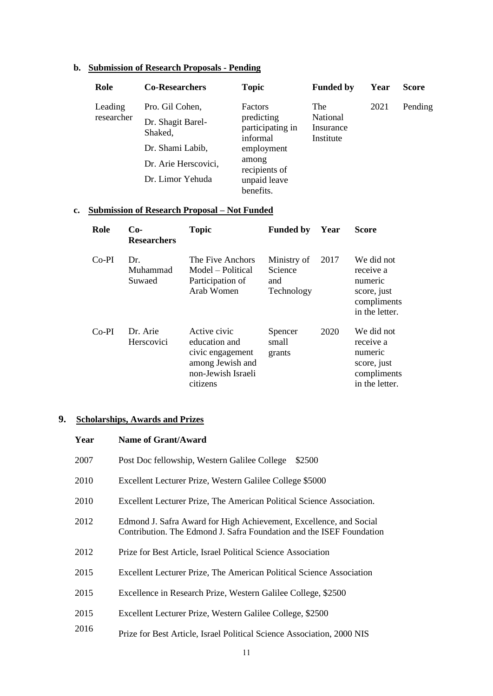# **b. Submission of Research Proposals - Pending**

| Role                  | <b>Co-Researchers</b>                                                                       | <b>Topic</b>                                                                        | <b>Funded by</b>                                 | Year | <b>Score</b> |
|-----------------------|---------------------------------------------------------------------------------------------|-------------------------------------------------------------------------------------|--------------------------------------------------|------|--------------|
| Leading<br>researcher | Pro. Gil Cohen,<br>Dr. Shagit Barel-<br>Shaked,<br>Dr. Shami Labib,<br>Dr. Arie Herscovici, | <b>Factors</b><br>predicting<br>participating in<br>informal<br>employment<br>among | <b>The</b><br>National<br>Insurance<br>Institute | 2021 | Pending      |
|                       | Dr. Limor Yehuda                                                                            | recipients of<br>unpaid leave<br>benefits.                                          |                                                  |      |              |

### **c. Submission of Research Proposal – Not Funded**

| Role    | $Co-$<br><b>Researchers</b> | <b>Topic</b>                                                                                            | <b>Funded by</b>                            | Year | <b>Score</b>                                                                       |
|---------|-----------------------------|---------------------------------------------------------------------------------------------------------|---------------------------------------------|------|------------------------------------------------------------------------------------|
| $Co-PI$ | Dr.<br>Muhammad<br>Suwaed   | The Five Anchors<br>Model – Political<br>Participation of<br>Arab Women                                 | Ministry of<br>Science<br>and<br>Technology | 2017 | We did not<br>receive a<br>numeric<br>score, just<br>compliments<br>in the letter. |
| $Co-PI$ | Dr. Arie<br>Herscovici      | Active civic<br>education and<br>civic engagement<br>among Jewish and<br>non-Jewish Israeli<br>citizens | Spencer<br>small<br>grants                  | 2020 | We did not<br>receive a<br>numeric<br>score, just<br>compliments<br>in the letter. |

# **9. Scholarships, Awards and Prizes**

| Year | <b>Name of Grant/Award</b>                                                                                                                 |
|------|--------------------------------------------------------------------------------------------------------------------------------------------|
| 2007 | Post Doc fellowship, Western Galilee College<br>\$2500                                                                                     |
| 2010 | Excellent Lecturer Prize, Western Galilee College \$5000                                                                                   |
| 2010 | Excellent Lecturer Prize, The American Political Science Association.                                                                      |
| 2012 | Edmond J. Safra Award for High Achievement, Excellence, and Social<br>Contribution. The Edmond J. Safra Foundation and the ISEF Foundation |
| 2012 | Prize for Best Article, Israel Political Science Association                                                                               |
| 2015 | Excellent Lecturer Prize, The American Political Science Association                                                                       |
| 2015 | Excellence in Research Prize, Western Galilee College, \$2500                                                                              |
| 2015 | Excellent Lecturer Prize, Western Galilee College, \$2500                                                                                  |
| 2016 | Prize for Best Article, Israel Political Science Association, 2000 NIS                                                                     |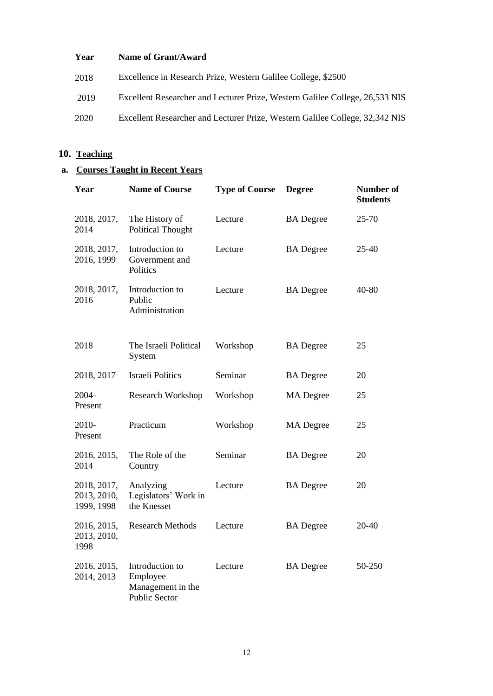### **Year Name of Grant/Award**

- 2018 Excellence in Research Prize, Western Galilee College, \$2500
- 2019 Excellent Researcher and Lecturer Prize, Western Galilee College, 26,533 NIS
- 2020 Excellent Researcher and Lecturer Prize, Western Galilee College, 32,342 NIS

### **10. Teaching**

## **a. Courses Taught in Recent Years**

| Year                                     | <b>Name of Course</b>                                                    | <b>Type of Course</b> | <b>Degree</b>    | Number of<br><b>Students</b> |
|------------------------------------------|--------------------------------------------------------------------------|-----------------------|------------------|------------------------------|
| 2018, 2017,<br>2014                      | The History of<br><b>Political Thought</b>                               | Lecture               | <b>BA</b> Degree | 25-70                        |
| 2018, 2017,<br>2016, 1999                | Introduction to<br>Government and<br>Politics                            | Lecture               | <b>BA</b> Degree | $25 - 40$                    |
| 2018, 2017,<br>2016                      | Introduction to<br>Public<br>Administration                              | Lecture               | <b>BA</b> Degree | 40-80                        |
| 2018                                     | The Israeli Political<br>System                                          | Workshop              | <b>BA</b> Degree | 25                           |
| 2018, 2017                               | <b>Israeli Politics</b>                                                  | Seminar               | <b>BA</b> Degree | 20                           |
| 2004-<br>Present                         | <b>Research Workshop</b>                                                 | Workshop              | <b>MA</b> Degree | 25                           |
| 2010-<br>Present                         | Practicum                                                                | Workshop              | <b>MA</b> Degree | 25                           |
| 2016, 2015,<br>2014                      | The Role of the<br>Country                                               | Seminar               | <b>BA</b> Degree | 20                           |
| 2018, 2017,<br>2013, 2010,<br>1999, 1998 | Analyzing<br>Legislators' Work in<br>the Knesset                         | Lecture               | <b>BA</b> Degree | 20                           |
| 2016, 2015,<br>2013, 2010,<br>1998       | <b>Research Methods</b>                                                  | Lecture               | <b>BA</b> Degree | 20-40                        |
| 2016, 2015,<br>2014, 2013                | Introduction to<br>Employee<br>Management in the<br><b>Public Sector</b> | Lecture               | <b>BA</b> Degree | 50-250                       |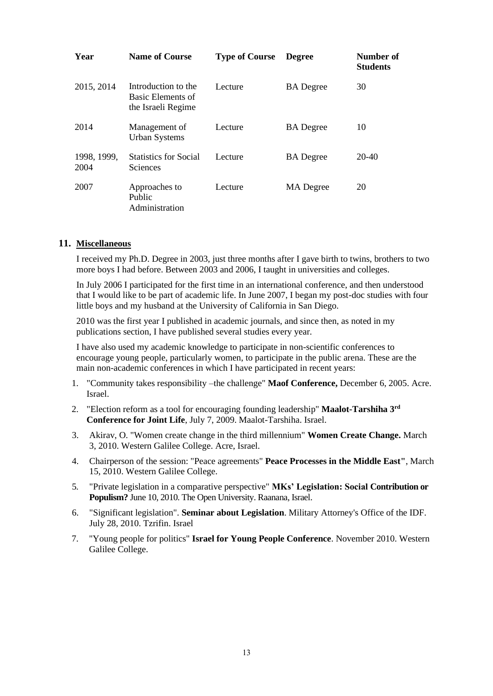| Year                | <b>Name of Course</b>                                          | <b>Type of Course</b> | <b>Degree</b>    | Number of<br><b>Students</b> |
|---------------------|----------------------------------------------------------------|-----------------------|------------------|------------------------------|
| 2015, 2014          | Introduction to the<br>Basic Elements of<br>the Israeli Regime | Lecture               | <b>BA</b> Degree | 30                           |
| 2014                | Management of<br><b>Urban Systems</b>                          | Lecture               | <b>BA</b> Degree | 10                           |
| 1998, 1999,<br>2004 | <b>Statistics for Social</b><br><b>Sciences</b>                | Lecture               | <b>BA</b> Degree | $20-40$                      |
| 2007                | Approaches to<br>Public<br>Administration                      | Lecture               | <b>MA</b> Degree | 20                           |

#### **11. Miscellaneous**

I received my Ph.D. Degree in 2003, just three months after I gave birth to twins, brothers to two more boys I had before. Between 2003 and 2006, I taught in universities and colleges.

In July 2006 I participated for the first time in an international conference, and then understood that I would like to be part of academic life. In June 2007, I began my post-doc studies with four little boys and my husband at the University of California in San Diego.

2010 was the first year I published in academic journals, and since then, as noted in my publications section, I have published several studies every year.

I have also used my academic knowledge to participate in non-scientific conferences to encourage young people, particularly women, to participate in the public arena. These are the main non-academic conferences in which I have participated in recent years:

- 1. "Community takes responsibility –the challenge" **Maof Conference,** December 6, 2005. Acre. Israel.
- 2. "Election reform as a tool for encouraging founding leadership" **Maalot-Tarshiha 3rd Conference for Joint Life**, July 7, 2009. Maalot-Tarshiha. Israel.
- 3. Akirav, O. "Women create change in the third millennium" **Women Create Change.** March 3, 2010. Western Galilee College. Acre, Israel.
- 4. Chairperson of the session: "Peace agreements" **Peace Processes in the Middle East"**, March 15, 2010. Western Galilee College.
- 5. "Private legislation in a comparative perspective" **MKs' Legislation: Social Contribution or Populism?** June 10, 2010. The Open University. Raanana, Israel.
- 6. "Significant legislation". **Seminar about Legislation**. Military Attorney's Office of the IDF. July 28, 2010. Tzrifin. Israel
- 7. "Young people for politics" **Israel for Young People Conference**. November 2010. Western Galilee College.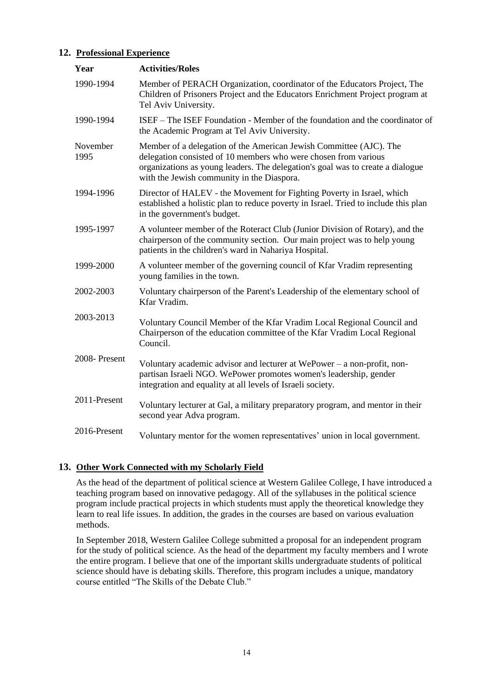### **12. Professional Experience**

| Year             | <b>Activities/Roles</b>                                                                                                                                                                                                                                               |  |  |
|------------------|-----------------------------------------------------------------------------------------------------------------------------------------------------------------------------------------------------------------------------------------------------------------------|--|--|
| 1990-1994        | Member of PERACH Organization, coordinator of the Educators Project, The<br>Children of Prisoners Project and the Educators Enrichment Project program at<br>Tel Aviv University.                                                                                     |  |  |
| 1990-1994        | ISEF – The ISEF Foundation - Member of the foundation and the coordinator of<br>the Academic Program at Tel Aviv University.                                                                                                                                          |  |  |
| November<br>1995 | Member of a delegation of the American Jewish Committee (AJC). The<br>delegation consisted of 10 members who were chosen from various<br>organizations as young leaders. The delegation's goal was to create a dialogue<br>with the Jewish community in the Diaspora. |  |  |
| 1994-1996        | Director of HALEV - the Movement for Fighting Poverty in Israel, which<br>established a holistic plan to reduce poverty in Israel. Tried to include this plan<br>in the government's budget.                                                                          |  |  |
| 1995-1997        | A volunteer member of the Roteract Club (Junior Division of Rotary), and the<br>chairperson of the community section. Our main project was to help young<br>patients in the children's ward in Nahariya Hospital.                                                     |  |  |
| 1999-2000        | A volunteer member of the governing council of Kfar Vradim representing<br>young families in the town.                                                                                                                                                                |  |  |
| 2002-2003        | Voluntary chairperson of the Parent's Leadership of the elementary school of<br>Kfar Vradim.                                                                                                                                                                          |  |  |
| 2003-2013        | Voluntary Council Member of the Kfar Vradim Local Regional Council and<br>Chairperson of the education committee of the Kfar Vradim Local Regional<br>Council.                                                                                                        |  |  |
| 2008-Present     | Voluntary academic advisor and lecturer at WePower – a non-profit, non-<br>partisan Israeli NGO. WePower promotes women's leadership, gender<br>integration and equality at all levels of Israeli society.                                                            |  |  |
| 2011-Present     | Voluntary lecturer at Gal, a military preparatory program, and mentor in their<br>second year Adva program.                                                                                                                                                           |  |  |
| 2016-Present     | Voluntary mentor for the women representatives' union in local government.                                                                                                                                                                                            |  |  |

## **13. Other Work Connected with my Scholarly Field**

As the head of the department of political science at Western Galilee College, I have introduced a teaching program based on innovative pedagogy. All of the syllabuses in the political science program include practical projects in which students must apply the theoretical knowledge they learn to real life issues. In addition, the grades in the courses are based on various evaluation methods.

In September 2018, Western Galilee College submitted a proposal for an independent program for the study of political science. As the head of the department my faculty members and I wrote the entire program. I believe that one of the important skills undergraduate students of political science should have is debating skills. Therefore, this program includes a unique, mandatory course entitled "The Skills of the Debate Club."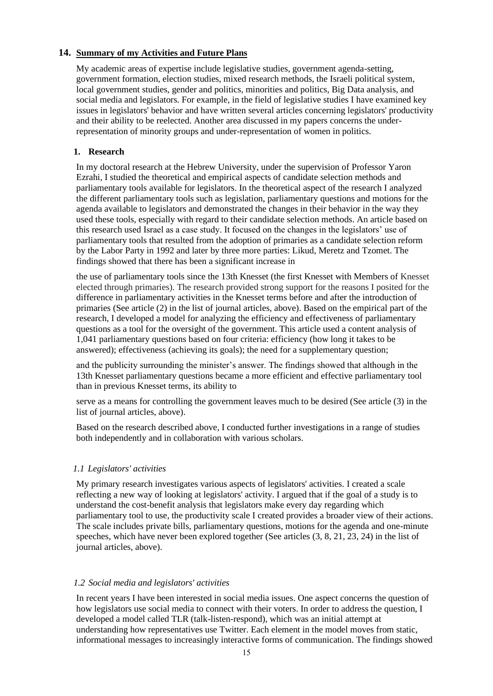## **14. Summary of my Activities and Future Plans**

My academic areas of expertise include legislative studies, government agenda-setting, government formation, election studies, mixed research methods, the Israeli political system, local government studies, gender and politics, minorities and politics, Big Data analysis, and social media and legislators. For example, in the field of legislative studies I have examined key issues in legislators' behavior and have written several articles concerning legislators' productivity and their ability to be reelected. Another area discussed in my papers concerns the underrepresentation of minority groups and under-representation of women in politics.

### **1. Research**

In my doctoral research at the Hebrew University, under the supervision of Professor Yaron Ezrahi, I studied the theoretical and empirical aspects of candidate selection methods and parliamentary tools available for legislators. In the theoretical aspect of the research I analyzed the different parliamentary tools such as legislation, parliamentary questions and motions for the agenda available to legislators and demonstrated the changes in their behavior in the way they used these tools, especially with regard to their candidate selection methods. An article based on this research used Israel as a case study. It focused on the changes in the legislators' use of parliamentary tools that resulted from the adoption of primaries as a candidate selection reform by the Labor Party in 1992 and later by three more parties: Likud, Meretz and Tzomet. The findings showed that there has been a significant increase in

the use of parliamentary tools since the 13th Knesset (the first Knesset with Members of Knesset elected through primaries). The research provided strong support for the reasons I posited for the difference in parliamentary activities in the Knesset terms before and after the introduction of primaries (See article (2) in the list of journal articles, above). Based on the empirical part of the research, I developed a model for analyzing the efficiency and effectiveness of parliamentary questions as a tool for the oversight of the government. This article used a content analysis of 1,041 parliamentary questions based on four criteria: efficiency (how long it takes to be answered); effectiveness (achieving its goals); the need for a supplementary question;

and the publicity surrounding the minister's answer. The findings showed that although in the 13th Knesset parliamentary questions became a more efficient and effective parliamentary tool than in previous Knesset terms, its ability to

serve as a means for controlling the government leaves much to be desired (See article (3) in the list of journal articles, above).

Based on the research described above, I conducted further investigations in a range of studies both independently and in collaboration with various scholars.

#### *1.1 Legislators' activities*

My primary research investigates various aspects of legislators' activities. I created a scale reflecting a new way of looking at legislators' activity. I argued that if the goal of a study is to understand the cost-benefit analysis that legislators make every day regarding which parliamentary tool to use, the productivity scale I created provides a broader view of their actions. The scale includes private bills, parliamentary questions, motions for the agenda and one-minute speeches, which have never been explored together (See articles (3, 8, 21, 23, 24) in the list of journal articles, above).

#### *1.2 Social media and legislators' activities*

In recent years I have been interested in social media issues. One aspect concerns the question of how legislators use social media to connect with their voters. In order to address the question, I developed a model called TLR (talk-listen-respond), which was an initial attempt at understanding how representatives use Twitter. Each element in the model moves from static, informational messages to increasingly interactive forms of communication. The findings showed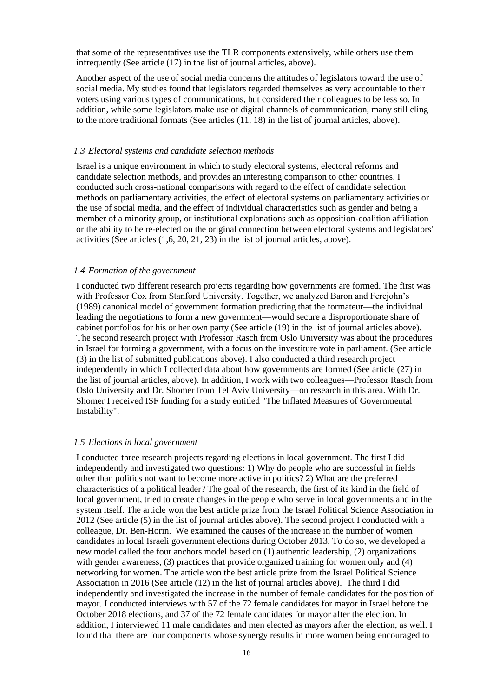that some of the representatives use the TLR components extensively, while others use them infrequently (See article (17) in the list of journal articles, above).

Another aspect of the use of social media concerns the attitudes of legislators toward the use of social media. My studies found that legislators regarded themselves as very accountable to their voters using various types of communications, but considered their colleagues to be less so. In addition, while some legislators make use of digital channels of communication, many still cling to the more traditional formats (See articles (11, 18) in the list of journal articles, above).

#### *1.3 Electoral systems and candidate selection methods*

Israel is a unique environment in which to study electoral systems, electoral reforms and candidate selection methods, and provides an interesting comparison to other countries. I conducted such cross-national comparisons with regard to the effect of candidate selection methods on parliamentary activities, the effect of electoral systems on parliamentary activities or the use of social media, and the effect of individual characteristics such as gender and being a member of a minority group, or institutional explanations such as opposition-coalition affiliation or the ability to be re-elected on the original connection between electoral systems and legislators' activities (See articles (1,6, 20, 21, 23) in the list of journal articles, above).

#### *1.4 Formation of the government*

I conducted two different research projects regarding how governments are formed. The first was with Professor Cox from Stanford University. Together, we analyzed Baron and Ferejohn's (1989) canonical model of government formation predicting that the formateur—the individual leading the negotiations to form a new government—would secure a disproportionate share of cabinet portfolios for his or her own party (See article (19) in the list of journal articles above). The second research project with Professor Rasch from Oslo University was about the procedures in Israel for forming a government, with a focus on the investiture vote in parliament. (See article (3) in the list of submitted publications above). I also conducted a third research project independently in which I collected data about how governments are formed (See article (27) in the list of journal articles, above). In addition, I work with two colleagues—Professor Rasch from Oslo University and Dr. Shomer from Tel Aviv University—on research in this area. With Dr. Shomer I received ISF funding for a study entitled "The Inflated Measures of Governmental Instability".

#### *1.5 Elections in local government*

I conducted three research projects regarding elections in local government. The first I did independently and investigated two questions: 1) Why do people who are successful in fields other than politics not want to become more active in politics? 2) What are the preferred characteristics of a political leader? The goal of the research, the first of its kind in the field of local government, tried to create changes in the people who serve in local governments and in the system itself. The article won the best article prize from the Israel Political Science Association in 2012 (See article (5) in the list of journal articles above). The second project I conducted with a colleague, Dr. Ben-Horin. We examined the causes of the increase in the number of women candidates in local Israeli government elections during October 2013. To do so, we developed a new model called the four anchors model based on (1) authentic leadership, (2) organizations with gender awareness, (3) practices that provide organized training for women only and (4) networking for women. The article won the best article prize from the Israel Political Science Association in 2016 (See article (12) in the list of journal articles above). The third I did independently and investigated the increase in the number of female candidates for the position of mayor. I conducted interviews with 57 of the 72 female candidates for mayor in Israel before the October 2018 elections, and 37 of the 72 female candidates for mayor after the election. In addition, I interviewed 11 male candidates and men elected as mayors after the election, as well. I found that there are four components whose synergy results in more women being encouraged to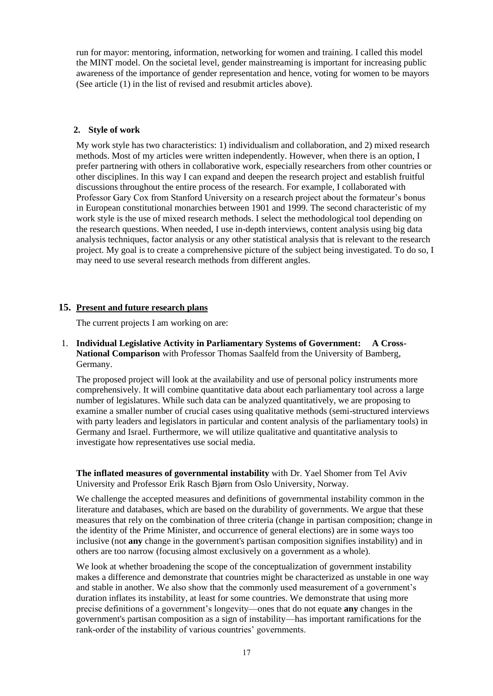run for mayor: mentoring, information, networking for women and training. I called this model the MINT model. On the societal level, gender mainstreaming is important for increasing public awareness of the importance of gender representation and hence, voting for women to be mayors (See article (1) in the list of revised and resubmit articles above).

#### **2. Style of work**

My work style has two characteristics: 1) individualism and collaboration, and 2) mixed research methods. Most of my articles were written independently. However, when there is an option, I prefer partnering with others in collaborative work, especially researchers from other countries or other disciplines. In this way I can expand and deepen the research project and establish fruitful discussions throughout the entire process of the research. For example, I collaborated with Professor Gary Cox from Stanford University on a research project about the formateur's bonus in European constitutional monarchies between 1901 and 1999. The second characteristic of my work style is the use of mixed research methods. I select the methodological tool depending on the research questions. When needed, I use in-depth interviews, content analysis using big data analysis techniques, factor analysis or any other statistical analysis that is relevant to the research project. My goal is to create a comprehensive picture of the subject being investigated. To do so, I may need to use several research methods from different angles.

### **15. Present and future research plans**

The current projects I am working on are:

1. **Individual Legislative Activity in Parliamentary Systems of Government: A Cross-National Comparison** with Professor Thomas Saalfeld from the University of Bamberg, Germany.

The proposed project will look at the availability and use of personal policy instruments more comprehensively. It will combine quantitative data about each parliamentary tool across a large number of legislatures. While such data can be analyzed quantitatively, we are proposing to examine a smaller number of crucial cases using qualitative methods (semi-structured interviews with party leaders and legislators in particular and content analysis of the parliamentary tools) in Germany and Israel. Furthermore, we will utilize qualitative and quantitative analysis to investigate how representatives use social media.

**The inflated measures of governmental instability** with Dr. Yael Shomer from Tel Aviv University and Professor Erik Rasch Bjørn from Oslo University, Norway.

We challenge the accepted measures and definitions of governmental instability common in the literature and databases, which are based on the durability of governments. We argue that these measures that rely on the combination of three criteria (change in partisan composition; change in the identity of the Prime Minister, and occurrence of general elections) are in some ways too inclusive (not **any** change in the government's partisan composition signifies instability) and in others are too narrow (focusing almost exclusively on a government as a whole).

We look at whether broadening the scope of the conceptualization of government instability makes a difference and demonstrate that countries might be characterized as unstable in one way and stable in another. We also show that the commonly used measurement of a government's duration inflates its instability, at least for some countries. We demonstrate that using more precise definitions of a government's longevity—ones that do not equate **any** changes in the government's partisan composition as a sign of instability—has important ramifications for the rank-order of the instability of various countries' governments.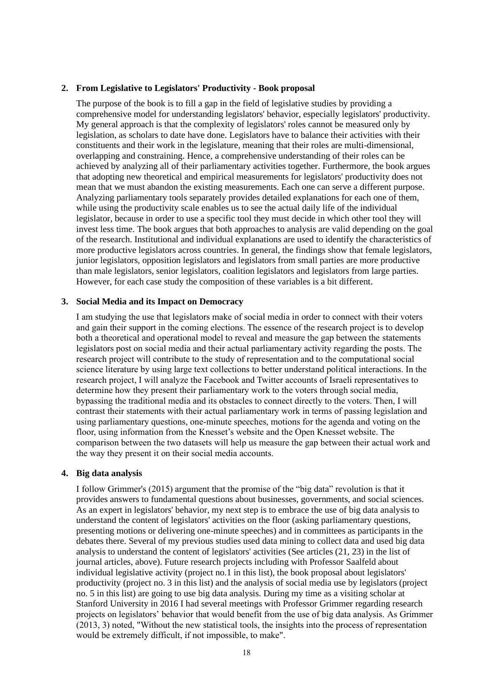#### **2. From Legislative to Legislators' Productivity - Book proposal**

The purpose of the book is to fill a gap in the field of legislative studies by providing a comprehensive model for understanding legislators' behavior, especially legislators' productivity. My general approach is that the complexity of legislators' roles cannot be measured only by legislation, as scholars to date have done. Legislators have to balance their activities with their constituents and their work in the legislature, meaning that their roles are multi-dimensional, overlapping and constraining. Hence, a comprehensive understanding of their roles can be achieved by analyzing all of their parliamentary activities together. Furthermore, the book argues that adopting new theoretical and empirical measurements for legislators' productivity does not mean that we must abandon the existing measurements. Each one can serve a different purpose. Analyzing parliamentary tools separately provides detailed explanations for each one of them, while using the productivity scale enables us to see the actual daily life of the individual legislator, because in order to use a specific tool they must decide in which other tool they will invest less time. The book argues that both approaches to analysis are valid depending on the goal of the research. Institutional and individual explanations are used to identify the characteristics of more productive legislators across countries. In general, the findings show that female legislators, junior legislators, opposition legislators and legislators from small parties are more productive than male legislators, senior legislators, coalition legislators and legislators from large parties. However, for each case study the composition of these variables is a bit different.

#### **3. Social Media and its Impact on Democracy**

I am studying the use that legislators make of social media in order to connect with their voters and gain their support in the coming elections. The essence of the research project is to develop both a theoretical and operational model to reveal and measure the gap between the statements legislators post on social media and their actual parliamentary activity regarding the posts. The research project will contribute to the study of representation and to the computational social science literature by using large text collections to better understand political interactions. In the research project, I will analyze the Facebook and Twitter accounts of Israeli representatives to determine how they present their parliamentary work to the voters through social media, bypassing the traditional media and its obstacles to connect directly to the voters. Then, I will contrast their statements with their actual parliamentary work in terms of passing legislation and using parliamentary questions, one-minute speeches, motions for the agenda and voting on the floor, using information from the Knesset's website and the Open Knesset website. The comparison between the two datasets will help us measure the gap between their actual work and the way they present it on their social media accounts.

#### **4. Big data analysis**

I follow Grimmer's (2015) argument that the promise of the "big data" revolution is that it provides answers to fundamental questions about businesses, governments, and social sciences. As an expert in legislators' behavior, my next step is to embrace the use of big data analysis to understand the content of legislators' activities on the floor (asking parliamentary questions, presenting motions or delivering one-minute speeches) and in committees as participants in the debates there. Several of my previous studies used data mining to collect data and used big data analysis to understand the content of legislators' activities (See articles (21, 23) in the list of journal articles, above). Future research projects including with Professor Saalfeld about individual legislative activity (project no.1 in this list), the book proposal about legislators' productivity (project no. 3 in this list) and the analysis of social media use by legislators (project no. 5 in this list) are going to use big data analysis. During my time as a visiting scholar at Stanford University in 2016 I had several meetings with Professor Grimmer regarding research projects on legislators' behavior that would benefit from the use of big data analysis. As Grimmer (2013, 3) noted, "Without the new statistical tools, the insights into the process of representation would be extremely difficult, if not impossible, to make".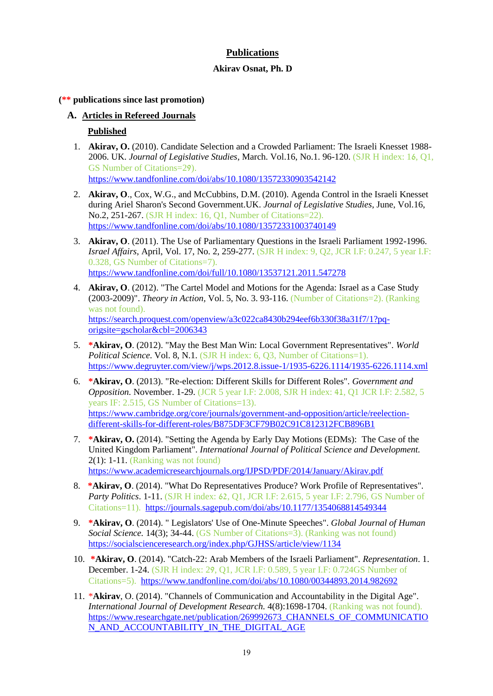# **Publications**

## **Akirav Osnat, Ph. D**

### **(\*\* publications since last promotion)**

# **A. Articles in Refereed Journals**

# **Published**

1. **Akirav, O.** (2010). Candidate Selection and a Crowded Parliament: The Israeli Knesset 1988- 2006. UK. *Journal of Legislative Studies*, March. Vol.16, No.1. 96-120. (SJR H index: 16, Q1, GS Number of Citations=29). <https://www.tandfonline.com/doi/abs/10.1080/13572330903542142>

2. **Akirav, O**., Cox, W.G., and McCubbins, D.M. (2010). Agenda Control in the Israeli Knesset during Ariel Sharon's Second Government.UK. *Journal of Legislative Studies*, June, Vol.16, No.2, 251-267. (SJR H index: 16, Q1, Number of Citations=22). <https://www.tandfonline.com/doi/abs/10.1080/13572331003740149>

- 3. **Akirav, O**. (2011). The Use of Parliamentary Questions in the Israeli Parliament 1992-1996. *Israel Affairs*, April, Vol. 17, No. 2, 259-277. (SJR H index: 9, Q2, JCR I.F: 0.247, 5 year I.F: 0.328, GS Number of Citations=7). <https://www.tandfonline.com/doi/full/10.1080/13537121.2011.547278>
- 4. **Akirav, O**. (2012). "The Cartel Model and Motions for the Agenda: Israel as a Case Study (2003-2009)". *Theory in Action,* Vol. 5, No. 3. 93-116. (Number of Citations=2). (Ranking was not found). [https://search.proquest.com/openview/a3c022ca8430b294eef6b330f38a31f7/1?pq](https://search.proquest.com/openview/a3c022ca8430b294eef6b330f38a31f7/1?pq-origsite=gscholar&cbl=2006343)[origsite=gscholar&cbl=2006343](https://search.proquest.com/openview/a3c022ca8430b294eef6b330f38a31f7/1?pq-origsite=gscholar&cbl=2006343)
- 5. **\*Akirav, O**. (2012). "May the Best Man Win: Local Government Representatives". *World Political Science*. Vol. 8, N.1. (SJR H index: 6, Q3, Number of Citations=1). <https://www.degruyter.com/view/j/wps.2012.8.issue-1/1935-6226.1114/1935-6226.1114.xml>
- 6. **\*Akirav, O**. (2013). "Re-election: Different Skills for Different Roles". *Government and Opposition.* November. 1-29. (JCR 5 year I.F: 2.008, SJR H index: 41, Q1 JCR I.F: 2.582, 5 years IF: 2.515, GS Number of Citations=13). [https://www.cambridge.org/core/journals/government-and-opposition/article/reelection](https://www.cambridge.org/core/journals/government-and-opposition/article/reelection-different-skills-for-different-roles/B875DF3CF79B02C91C812312FCB896B1)[different-skills-for-different-roles/B875DF3CF79B02C91C812312FCB896B1](https://www.cambridge.org/core/journals/government-and-opposition/article/reelection-different-skills-for-different-roles/B875DF3CF79B02C91C812312FCB896B1)
- 7. **\*Akirav, O.** (2014). "Setting the Agenda by Early Day Motions (EDMs): The Case of the United Kingdom Parliament". *International Journal of Political Science and Development.*  2(1): 1-11. (Ranking was not found) <https://www.academicresearchjournals.org/IJPSD/PDF/2014/January/Akirav.pdf>
- 8. **\*Akirav, O**. (2014). "What Do Representatives Produce? Work Profile of Representatives". *Party Politics*. 1-11. (SJR H index: 62, Q1, JCR I.F: 2.615, 5 year I.F: 2.796, GS Number of Citations=11).<https://journals.sagepub.com/doi/abs/10.1177/1354068814549344>
- 9. **\*Akirav, O**. (2014). " Legislators' Use of One-Minute Speeches". *Global Journal of Human Social Science.* **14(3): 34-44.** (GS Number of Citations=3). (Ranking was not found) <https://socialscienceresearch.org/index.php/GJHSS/article/view/1134>
- 10. **\*Akirav, O**. (2014). "Catch-22: Arab Members of the Israeli Parliament". *Representation*. 1. December. 1-24. (SJR H index: 29, Q1, JCR I.F: 0.589, 5 year I.F: 0.724GS Number of Citations=5). <https://www.tandfonline.com/doi/abs/10.1080/00344893.2014.982692>
- 11. \***Akirav**, O. (2014). "Channels of Communication and Accountability in the Digital Age". *International Journal of Development Research.*  $4(8)$ :1698-1704. (Ranking was not found). [https://www.researchgate.net/publication/269992673\\_CHANNELS\\_OF\\_COMMUNICATIO](https://www.researchgate.net/publication/269992673_CHANNELS_OF_COMMUNICATION_AND_ACCOUNTABILITY_IN_THE_DIGITAL_AGE) [N\\_AND\\_ACCOUNTABILITY\\_IN\\_THE\\_DIGITAL\\_AGE](https://www.researchgate.net/publication/269992673_CHANNELS_OF_COMMUNICATION_AND_ACCOUNTABILITY_IN_THE_DIGITAL_AGE)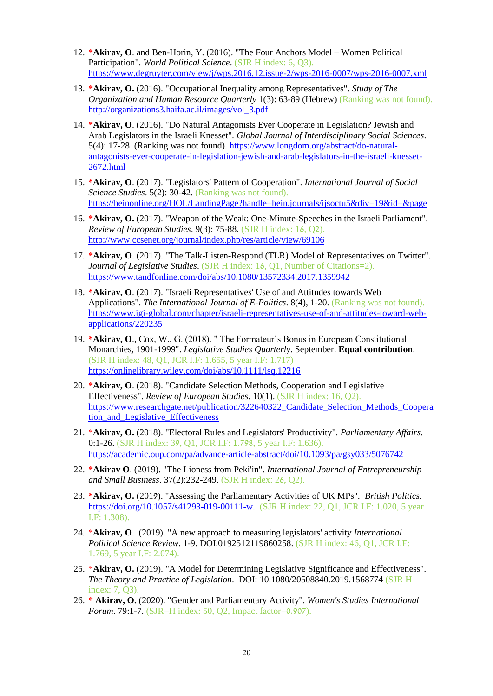- 12. **\*Akirav, O**. and Ben-Horin, Y. (2016). "The Four Anchors Model Women Political Participation". *World Political Science*. (SJR H index: 6, Q3). <https://www.degruyter.com/view/j/wps.2016.12.issue-2/wps-2016-0007/wps-2016-0007.xml>
- 13. **\*Akirav, O.** (2016). "Occupational Inequality among Representatives". *Study of The Organization and Human Resource Quarterly* 1(3): 63-89 (Hebrew) (Ranking was not found). [http://organizations3.haifa.ac.il/images/vol\\_3.pdf](http://organizations3.haifa.ac.il/images/vol_3.pdf)
- 14. **\*Akirav, O**. (2016). "Do Natural Antagonists Ever Cooperate in Legislation? Jewish and Arab Legislators in the Israeli Knesset". *Global Journal of Interdisciplinary Social Sciences*. 5(4): 17-28. (Ranking was not found). [https://www.longdom.org/abstract/do-natural](https://www.longdom.org/abstract/do-natural-antagonists-ever-cooperate-in-legislation-jewish-and-arab-legislators-in-the-israeli-knesset-2672.html)[antagonists-ever-cooperate-in-legislation-jewish-and-arab-legislators-in-the-israeli-knesset-](https://www.longdom.org/abstract/do-natural-antagonists-ever-cooperate-in-legislation-jewish-and-arab-legislators-in-the-israeli-knesset-2672.html)[2672.html](https://www.longdom.org/abstract/do-natural-antagonists-ever-cooperate-in-legislation-jewish-and-arab-legislators-in-the-israeli-knesset-2672.html)
- 15. **\*Akirav, O**. (2017). "Legislators' Pattern of Cooperation". *International Journal of Social Science Studies*. 5(2): 30-42. (Ranking was not found). <https://heinonline.org/HOL/LandingPage?handle=hein.journals/ijsoctu5&div=19&id=&page>
- 16. **\*Akirav, O.** (2017). "Weapon of the Weak: One-Minute-Speeches in the Israeli Parliament". *Review of European Studies*. 9(3): 75-88. (SJR H index: 16, Q2). <http://www.ccsenet.org/journal/index.php/res/article/view/69106>
- 17. **\*Akirav, O**. (2017). "The Talk-Listen-Respond (TLR) Model of Representatives on Twitter". *Journal of Legislative Studies*. (SJR H index: 16, Q1, Number of Citations=2). <https://www.tandfonline.com/doi/abs/10.1080/13572334.2017.1359942>
- 18. **\*Akirav, O**. (2017). "Israeli Representatives' Use of and Attitudes towards Web Applications". *The International Journal of E-Politics*. 8(4), 1-20. (Ranking was not found). [https://www.igi-global.com/chapter/israeli-representatives-use-of-and-attitudes-toward-web](https://www.igi-global.com/chapter/israeli-representatives-use-of-and-attitudes-toward-web-applications/220235)[applications/220235](https://www.igi-global.com/chapter/israeli-representatives-use-of-and-attitudes-toward-web-applications/220235)
- 19. **\*Akirav, O**., Cox, W., G. (2018). " The Formateur's Bonus in European Constitutional Monarchies, 1901-1999". *Legislative Studies Quarterly*. September. **Equal contribution**. (SJR H index: 48, Q1, JCR I.F: 1.655, 5 year I.F: 1.717) <https://onlinelibrary.wiley.com/doi/abs/10.1111/lsq.12216>
- 20. **\*Akirav, O**. (2018). "Candidate Selection Methods, Cooperation and Legislative Effectiveness". *Review of European Studies*. 10(1). (SJR H index: 16, Q2). [https://www.researchgate.net/publication/322640322\\_Candidate\\_Selection\\_Methods\\_Coopera](https://www.researchgate.net/publication/322640322_Candidate_Selection_Methods_Cooperation_and_Legislative_Effectiveness) [tion\\_and\\_Legislative\\_Effectiveness](https://www.researchgate.net/publication/322640322_Candidate_Selection_Methods_Cooperation_and_Legislative_Effectiveness)
- 21. \***Akirav, O.** (2018). "Electoral Rules and Legislators' Productivity". *Parliamentary Affairs*. 0:1-26. (SJR H index: 39, Q1, JCR I.F: 1.798, 5 year I.F: 1.636). <https://academic.oup.com/pa/advance-article-abstract/doi/10.1093/pa/gsy033/5076742>
- 22. **\*Akirav O**. (2019). "The Lioness from Peki'in". *International Journal of Entrepreneurship and Small Business*. 37(2):232-249. (SJR H index: 26, Q2).
- 23. **\*Akirav, O.** (2019). "Assessing the Parliamentary Activities of UK MPs". *British Politics.* [https://doi.org/10.1057/s41293-019-00111-w.](https://doi.org/10.1057/s41293-019-00111-w) (SJR H index: 22, O1, JCR I.F: 1.020, 5 year I.F: 1.308).
- 24. \***Akirav, O**. (2019). "A new approach to measuring legislators' activity *International Political Science Review*. 1-9. DOI.0192512119860258. (SJR H index: 46, Q1, JCR I.F: 1.769, 5 year I.F: 2.074).
- 25. \***Akirav, O.** (2019). "A Model for Determining Legislative Significance and Effectiveness". *The Theory and Practice of Legislation*. DOI: 10.1080/20508840.2019.1568774 (SJR H index: 7, Q3).
- 26. **\* Akirav, O.** (2020). "Gender and Parliamentary Activity". *Women's Studies International Forum*. 79:1-7. (SJR=H index: 50, Q2, Impact factor=0.907).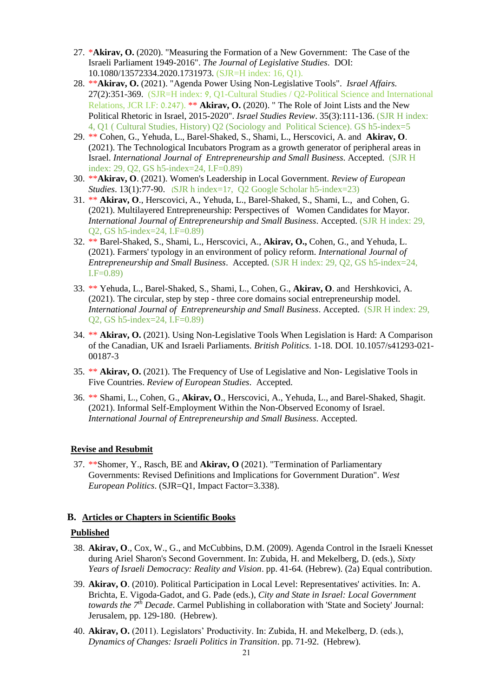- 27. \***Akirav, O.** (2020). "Measuring the Formation of a New Government: The Case of the Israeli Parliament 1949-2016". *The Journal of Legislative Studies*. DOI: 10.1080/13572334.2020.1731973. (SJR=H index: 16, Q1).
- 28. \*\***Akirav, O.** (2021). "Agenda Power Using Non-Legislative Tools". *Israel Affairs.* 27(2):351-369. (SJR=H index: 9, Q1-Cultural Studies / Q2-Political Science and International Relations, JCR I.F: 0.247). \*\* **Akirav, O.** (2020). " The Role of Joint Lists and the New Political Rhetoric in Israel, 2015-2020". *Israel Studies Review*. 35(3):111-136. (SJR H index: 4, Q1 ( Cultural Studies, History) Q2 (Sociology and Political Science). GS h5-index=5
- 29. \*\* Cohen, G., Yehuda, L., Barel-Shaked, S., Shami, L., Herscovici, A. and **Akirav, O**. (2021). The Technological Incubators Program as a growth generator of peripheral areas in Israel. *International Journal of Entrepreneurship and Small Business.* Accepted. (SJR H index: 29, Q2, GS h5-index=24, I.F=0.89)
- 30. \*\***Akirav, O**. (2021). Women's Leadership in Local Government. *Review of European Studies*. 13(1):77-90. *(SJR h index=17,*  $\overline{Q}$ *2 Google Scholar h5-index=23)*
- 31. \*\* **Akirav, O**., Herscovici, A., Yehuda, L., Barel-Shaked, S., Shami, L., and Cohen, G. (2021). Multilayered Entrepreneurship: Perspectives of Women Candidates for Mayor. *International Journal of Entrepreneurship and Small Business*. Accepted. (SJR H index: 29, Q2, GS h5-index=24, I.F=0.89)
- 32. \*\* Barel-Shaked, S., Shami, L., Herscovici, A., **Akirav, O.,** Cohen, G., and Yehuda, L. (2021). Farmers' typology in an environment of policy reform. *International Journal of Entrepreneurship and Small Business*. Accepted. (SJR H index: 29, Q2, GS h5-index=24,  $I.F=0.89$
- 33. \*\* Yehuda, L., Barel-Shaked, S., Shami, L., Cohen, G., **Akirav, O**. and Hershkovici, A. (2021). The circular, step by step - three core domains social entrepreneurship model. *International Journal of Entrepreneurship and Small Business*. Accepted. (SJR H index: 29, Q2, GS h5-index=24, I.F=0.89)
- 34. \*\* **Akirav, O.** (2021). Using Non-Legislative Tools When Legislation is Hard: A Comparison of the Canadian, UK and Israeli Parliaments. *British Politics*. 1-18. DOI. 10.1057/s41293-021- 00187-3
- 35. \*\* **Akirav, O.** (2021). The Frequency of Use of Legislative and Non- Legislative Tools in Five Countries. *Review of European Studies*. Accepted.
- 36. \*\* Shami, L., Cohen, G., **Akirav, O**., Herscovici, A., Yehuda, L., and Barel-Shaked, Shagit. (2021). Informal Self-Employment Within the Non-Observed Economy of Israel. *International Journal of Entrepreneurship and Small Business*. Accepted.

#### **Revise and Resubmit**

37. \*\*Shomer, Y., Rasch, BE and **Akirav, O** (2021). "Termination of Parliamentary Governments: Revised Definitions and Implications for Government Duration". *West European Politics*. (SJR=Q1, Impact Factor=3.338).

#### **B. Articles or Chapters in Scientific Books**

#### **Published**

- 38. **Akirav, O**., Cox, W., G., and McCubbins, D.M. (2009). Agenda Control in the Israeli Knesset during Ariel Sharon's Second Government. In: Zubida, H. and Mekelberg, D. (eds.), *Sixty Years of Israeli Democracy: Reality and Vision*. pp. 41-64*.* (Hebrew). (2a) Equal contribution.
- 39. **Akirav, O**. (2010). Political Participation in Local Level: Representatives' activities. In: A. Brichta, E. Vigoda-Gadot, and G. Pade (eds.), *City and State in Israel: Local Government towards the 7th Decade*. Carmel Publishing in collaboration with 'State and Society' Journal: Jerusalem, pp. 129-180. (Hebrew).
- 40. **Akirav, O.** (2011). Legislators' Productivity. In: Zubida, H. and Mekelberg, D. (eds.), *Dynamics of Changes: Israeli Politics in Transition*. pp. 71-92. (Hebrew).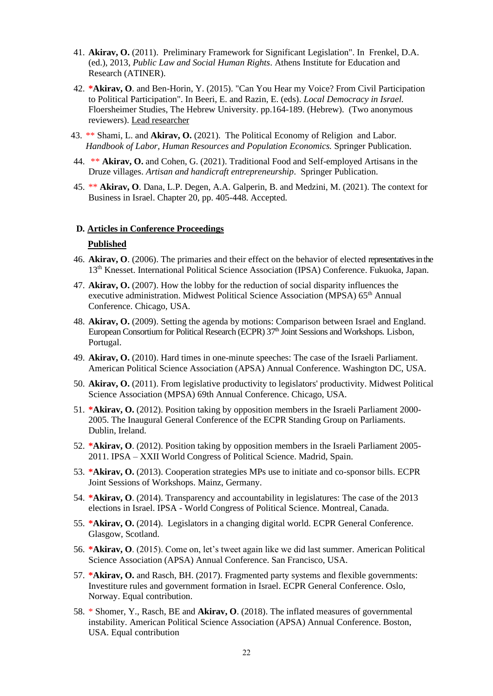- 41. **Akirav, O.** (2011). Preliminary Framework for Significant Legislation". In Frenkel, D.A. (ed.), 2013, *Public Law and Social Human Rights*. Athens Institute for Education and Research (ATINER).
- 42. **\*Akirav, O**. and Ben-Horin, Y. (2015). "Can You Hear my Voice? From Civil Participation to Political Participation". In Beeri, E. and Razin, E. (eds). *Local Democracy in Israel.*  Floersheimer Studies, The Hebrew University. pp.164-189. (Hebrew). (Two anonymous reviewers). Lead researcher
- 43. \*\* Shami, L. and **Akirav, O.** (2021). The Political Economy of Religion and Labor*. Handbook of Labor, Human Resources and Population Economics.* Springer Publication.
- 44. \*\* **Akirav, O.** and Cohen, G. (2021). Traditional Food and Self-employed Artisans in the Druze villages. *Artisan and handicraft entrepreneurship*. Springer Publication.
- 45. \*\* **Akirav, O**. Dana, L.P. Degen, A.A. Galperin, B. and Medzini, M. (2021). The context for Business in Israel. Chapter 20, pp. 405-448. Accepted.

#### **D***.* **Articles in Conference Proceedings**

#### **Published**

- 46. **Akirav, O**. (2006). The primaries and their effect on the behavior of elected representatives in the 13th Knesset. International Political Science Association (IPSA) Conference. Fukuoka, Japan.
- 47. **Akirav, O.** (2007). How the lobby for the reduction of social disparity influences the executive administration. Midwest Political Science Association (MPSA) 65<sup>th</sup> Annual Conference. Chicago, USA.
- 48. **Akirav, O.** (2009). Setting the agenda by motions: Comparison between Israel and England. European Consortium for Political Research (ECPR) 37<sup>th</sup> Joint Sessions and Workshops. Lisbon, Portugal.
- 49. **Akirav, O.** (2010). Hard times in one-minute speeches: The case of the Israeli Parliament. American Political Science Association (APSA) Annual Conference. Washington DC, USA.
- 50. **Akirav, O.** (2011). From legislative productivity to legislators' productivity. Midwest Political Science Association (MPSA) 69th Annual Conference. Chicago, USA.
- 51. **\*Akirav, O.** (2012). Position taking by opposition members in the Israeli Parliament 2000- 2005. The Inaugural General Conference of the ECPR Standing Group on Parliaments. Dublin, Ireland.
- 52. **\*Akirav, O**. (2012). Position taking by opposition members in the Israeli Parliament 2005- 2011. IPSA – XXII World Congress of Political Science. Madrid, Spain.
- 53. **\*Akirav, O.** (2013). Cooperation strategies MPs use to initiate and co-sponsor bills. ECPR Joint Sessions of Workshops. Mainz, Germany.
- 54. **\*Akirav, O**. (2014). Transparency and accountability in legislatures: The case of the 2013 elections in Israel. IPSA - World Congress of Political Science. Montreal, Canada.
- 55. **\*Akirav, O.** (2014).Legislators in a changing digital world. ECPR General Conference. Glasgow, Scotland.
- 56. **\*Akirav, O**. (2015). Come on, let's tweet again like we did last summer. American Political Science Association (APSA) Annual Conference. San Francisco, USA.
- 57. **\*Akirav, O.** and Rasch, BH. (2017). Fragmented party systems and flexible governments: Investiture rules and government formation in Israel. ECPR General Conference. Oslo, Norway. Equal contribution.
- 58. \* Shomer, Y., Rasch, BE and **Akirav, O**. (2018). The inflated measures of governmental instability. American Political Science Association (APSA) Annual Conference. Boston, USA. Equal contribution